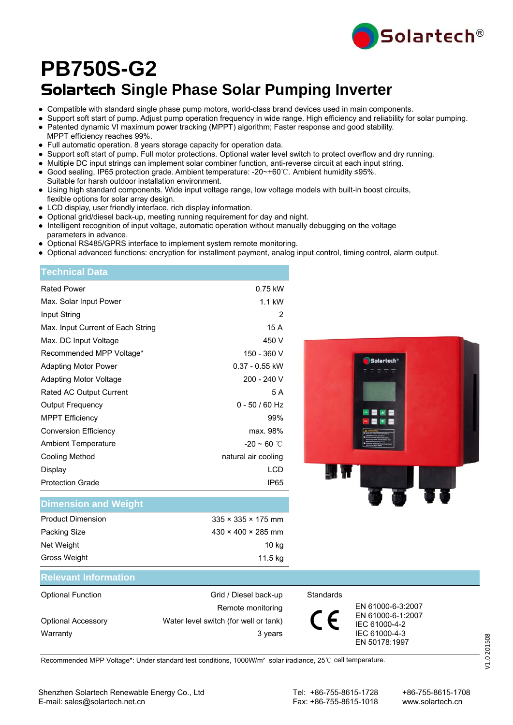

# Solartech **Single Phase Solar Pumping Inverter PB750S-G2**

- Compatible with standard single phase pump motors, world-class brand devices used in main components.
- Support soft start of pump. Adjust pump operation frequency in wide range. High efficiency and reliability for solar pumping.
- Patented dynamic VI maximum power tracking (MPPT) algorithm; Faster response and good stability.
- MPPT efficiency reaches 99%.
- Full automatic operation. 8 years storage capacity for operation data.
- Support soft start of pump. Full motor protections. Optional water level switch to protect overflow and dry running.
- Multiple DC input strings can implement solar combiner function, anti-reverse circuit at each input string.
- Good sealing, IP65 protection grade. Ambient temperature: -20~+60℃. Ambient humidity ≤95%.
- Suitable for harsh outdoor installation environment. ● Using high standard components. Wide input voltage range, low voltage models with built-in boost circuits, flexible options for solar array design.
- LCD display, user friendly interface, rich display information.
- Optional grid/diesel back-up, meeting running requirement for day and night.
- Intelligent recognition of input voltage, automatic operation without manually debugging on the voltage parameters in advance.
- Optional RS485/GPRS interface to implement system remote monitoring.
- Optional advanced functions: encryption for installment payment, analog input control, timing control, alarm output.

| Technical Data                    |                     |
|-----------------------------------|---------------------|
| <b>Rated Power</b>                | 0.75 kW             |
| Max. Solar Input Power            | $1.1$ kW            |
| Input String                      | 2                   |
| Max. Input Current of Each String | 15 A                |
| Max. DC Input Voltage             | 450 V               |
| Recommended MPP Voltage*          | 150 - 360 V         |
| Adapting Motor Power              | $0.37 - 0.55$ kW    |
| Adapting Motor Voltage            | 200 - 240 V         |
| Rated AC Output Current           | 5 A                 |
| Output Frequency                  | $0 - 50 / 60$ Hz    |
| <b>MPPT Efficiency</b>            | 99%                 |
| <b>Conversion Efficiency</b>      | max. 98%            |
| <b>Ambient Temperature</b>        | $-20 \sim 60$ °C    |
| Cooling Method                    | natural air cooling |
| Display                           | I CD                |
| <b>Protection Grade</b>           | IP65                |
|                                   |                     |



### **Dimension and Weight**

| <b>Product Dimension</b> | $335 \times 335 \times 175$ mm |
|--------------------------|--------------------------------|
| Packing Size             | $430 \times 400 \times 285$ mm |
| Net Weight               | 10 kg                          |
| Gross Weight             | 11.5 kg                        |

### **Relevant Information**

| <b>Optional Function</b>  | Grid / Diesel back-up                 | Standards |                                    |
|---------------------------|---------------------------------------|-----------|------------------------------------|
|                           | Remote monitoring                     |           | EN 61000-6-3:2007                  |
| <b>Optional Accessory</b> | Water level switch (for well or tank) |           | EN 61000-6-1:2007<br>IEC 61000-4-2 |
| Warranty                  | 3 years                               |           | IEC 61000-4-3                      |
|                           |                                       |           | FN 50178:1997                      |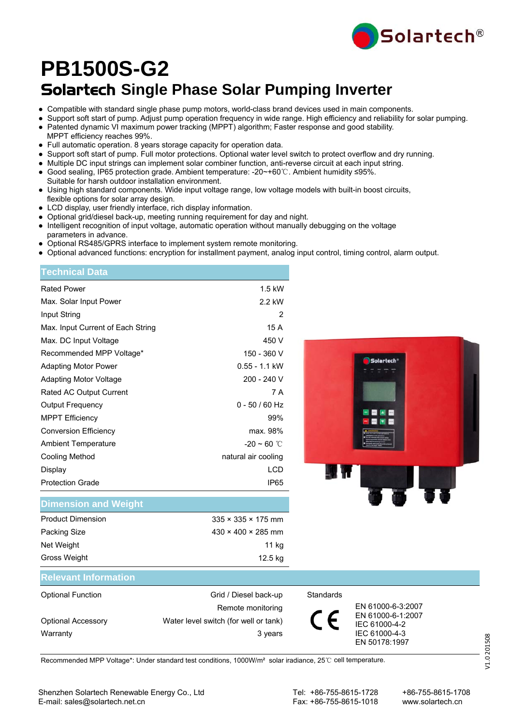

# Solartech **Single Phase Solar Pumping Inverter PB1500S-G2**

- Compatible with standard single phase pump motors, world-class brand devices used in main components.
- Support soft start of pump. Adjust pump operation frequency in wide range. High efficiency and reliability for solar pumping.
- Patented dynamic VI maximum power tracking (MPPT) algorithm; Faster response and good stability.
- MPPT efficiency reaches 99%.
- Full automatic operation. 8 years storage capacity for operation data.
- Support soft start of pump. Full motor protections. Optional water level switch to protect overflow and dry running.
- Multiple DC input strings can implement solar combiner function, anti-reverse circuit at each input string.
- Good sealing, IP65 protection grade. Ambient temperature: -20~+60℃. Ambient humidity ≤95%.
- Suitable for harsh outdoor installation environment.
- Using high standard components. Wide input voltage range, low voltage models with built-in boost circuits, flexible options for solar array design.
- LCD display, user friendly interface, rich display information.
- Optional grid/diesel back-up, meeting running requirement for day and night.
- Intelligent recognition of input voltage, automatic operation without manually debugging on the voltage parameters in advance.
- Optional RS485/GPRS interface to implement system remote monitoring.
- Optional advanced functions: encryption for installment payment, analog input control, timing control, alarm output.

| <b>Technical Data</b>             |                     |
|-----------------------------------|---------------------|
| <b>Rated Power</b>                | $1.5$ kW            |
| Max. Solar Input Power            | 2.2 kW              |
| Input String                      | 2                   |
| Max. Input Current of Each String | 15 A                |
| Max. DC Input Voltage             | 450 V               |
| Recommended MPP Voltage*          | 150 - 360 V         |
| Adapting Motor Power              | 0.55 - 1.1 kW       |
| Adapting Motor Voltage            | 200 - 240 V         |
| Rated AC Output Current           | 7 A                 |
| <b>Output Frequency</b>           | $0 - 50 / 60$ Hz    |
| <b>MPPT Efficiency</b>            | 99%                 |
| <b>Conversion Efficiency</b>      | max. 98%            |
| <b>Ambient Temperature</b>        | $-20 \sim 60$ °C    |
| Cooling Method                    | natural air cooling |
| Display                           | <b>LCD</b>          |
| <b>Protection Grade</b>           | IP65                |



### **Dimension and Weight**

| <b>Product Dimension</b> | $335 \times 335 \times 175$ mm |
|--------------------------|--------------------------------|
| Packing Size             | $430 \times 400 \times 285$ mm |
| Net Weight               | 11 kg                          |
| Gross Weight             | 12.5 kg                        |

### **Relevant Information**

| <b>Optional Function</b>  | Grid / Diesel back-up                 | Standards |                                        |
|---------------------------|---------------------------------------|-----------|----------------------------------------|
|                           | Remote monitoring                     |           | EN 61000-6-3:2007<br>EN 61000-6-1:2007 |
| <b>Optional Accessory</b> | Water level switch (for well or tank) |           | IEC 61000-4-2                          |
| Warranty                  | 3 years                               |           | IEC 61000-4-3                          |
|                           |                                       |           | FN 50178:1997                          |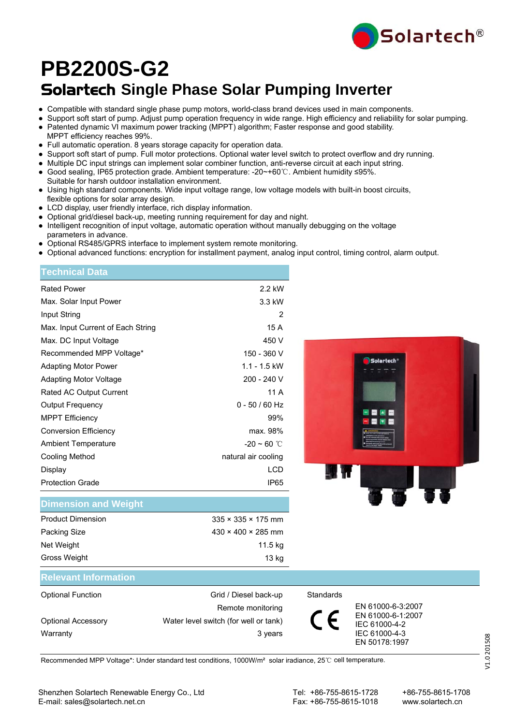

# Solartech **Single Phase Solar Pumping Inverter PB2200S-G2**

- Compatible with standard single phase pump motors, world-class brand devices used in main components.
- Support soft start of pump. Adjust pump operation frequency in wide range. High efficiency and reliability for solar pumping.
- Patented dynamic VI maximum power tracking (MPPT) algorithm; Faster response and good stability.
- MPPT efficiency reaches 99%.
- Full automatic operation. 8 years storage capacity for operation data.
- Support soft start of pump. Full motor protections. Optional water level switch to protect overflow and dry running.
- Multiple DC input strings can implement solar combiner function, anti-reverse circuit at each input string.
- Good sealing, IP65 protection grade. Ambient temperature: -20~+60℃. Ambient humidity ≤95%.
- Suitable for harsh outdoor installation environment.
- Using high standard components. Wide input voltage range, low voltage models with built-in boost circuits, flexible options for solar array design.
- LCD display, user friendly interface, rich display information.
- Optional grid/diesel back-up, meeting running requirement for day and night.
- Intelligent recognition of input voltage, automatic operation without manually debugging on the voltage parameters in advance.
- Optional RS485/GPRS interface to implement system remote monitoring.
- Optional advanced functions: encryption for installment payment, analog input control, timing control, alarm output.

| <b>Technical Data</b>             |                     |
|-----------------------------------|---------------------|
| <b>Rated Power</b>                | 2.2 kW              |
| Max. Solar Input Power            | 3.3 kW              |
| Input String                      | 2                   |
| Max. Input Current of Each String | 15 A                |
| Max. DC Input Voltage             | 450 V               |
| Recommended MPP Voltage*          | 150 - 360 V         |
| Adapting Motor Power              | $1.1 - 1.5$ kW      |
| Adapting Motor Voltage            | 200 - 240 V         |
| Rated AC Output Current           | 11 A                |
| <b>Output Frequency</b>           | $0 - 50 / 60$ Hz    |
| <b>MPPT Efficiency</b>            | 99%                 |
| <b>Conversion Efficiency</b>      | max. 98%            |
| <b>Ambient Temperature</b>        | $-20 \sim 60$ °C    |
| Cooling Method                    | natural air cooling |
| Display                           | LCD                 |
| <b>Protection Grade</b>           | IP65                |
|                                   |                     |



### **Dimension and Weight**

| <b>Product Dimension</b> | $335 \times 335 \times 175$ mm |
|--------------------------|--------------------------------|
| Packing Size             | $430 \times 400 \times 285$ mm |
| Net Weight               | 11.5 kg                        |
| Gross Weight             | 13 kg                          |

### **Relevant Information**

| <b>Optional Function</b>  | Grid / Diesel back-up                 | Standards |                                    |
|---------------------------|---------------------------------------|-----------|------------------------------------|
|                           | Remote monitoring                     |           | EN 61000-6-3:2007                  |
| <b>Optional Accessory</b> | Water level switch (for well or tank) |           | EN 61000-6-1:2007<br>IEC 61000-4-2 |
| Warranty                  | 3 years                               |           | IEC 61000-4-3                      |
|                           |                                       |           | FN 50178:1997                      |